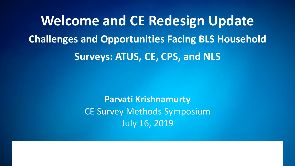**Welcome and CE Redesign Update Challenges and Opportunities Facing BLS Household Surveys: ATUS, CE, CPS, and NLS**

> **Parvati Krishnamurty** CE Survey Methods Symposium July 16, 2019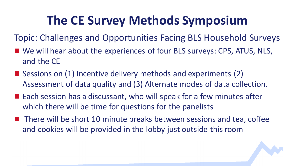## **The CE Survey Methods Symposium**

Topic: Challenges and Opportunities Facing BLS Household Surveys

- We will hear about the experiences of four BLS surveys: CPS, ATUS, NLS, and the CE
- Sessions on (1) Incentive delivery methods and experiments (2) Assessment of data quality and (3) Alternate modes of data collection.
- Each session has a discussant, who will speak for a few minutes after which there will be time for questions for the panelists
- There will be short 10 minute breaks between sessions and tea, coffee and cookies will be provided in the lobby just outside this room

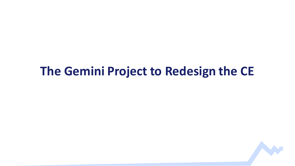#### **The Gemini Project to Redesign the CE**

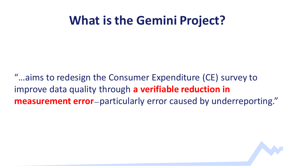#### **What is the Gemini Project?**

"…aims to redesign the Consumer Expenditure (CE) survey to improve data quality through **a verifiable reduction in measurement error**—particularly error caused by underreporting."

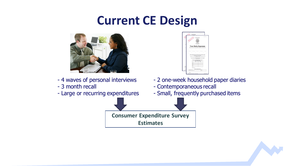### **Current CE Design**



- 4 waves of personal interviews
- 3 month recall
- Large or recurring expenditures

| He                         | w<br>Maria Landia                                                     | <b>HARDWOOD</b><br><b>Your Daily Expenses</b><br>Help us loam about the buying habits of people in the United States                                                                                                                                                                                                                                                                          | 113<br><b>CLASS SHOP</b>                                         | <b>HER MORE</b>                                  | <b>HER MORE</b>              |
|----------------------------|-----------------------------------------------------------------------|-----------------------------------------------------------------------------------------------------------------------------------------------------------------------------------------------------------------------------------------------------------------------------------------------------------------------------------------------------------------------------------------------|------------------------------------------------------------------|--------------------------------------------------|------------------------------|
| <b>SILLER</b>              |                                                                       |                                                                                                                                                                                                                                                                                                                                                                                               |                                                                  |                                                  |                              |
|                            | <b><i>Contractory</i></b><br><b>SUPPLIE</b>                           | Joseph & Unite<br>men though                                                                                                                                                                                                                                                                                                                                                                  | Dealers Call Inc.<br><b>COULD</b>                                | <b>SERVICE AND IN</b><br><b>Power Street Bay</b> | Service Corp<br><b>Total</b> |
|                            |                                                                       | When you write down how you spend your momen' in this digns you will<br>help us understand more about the products and services that are bought.<br>By har IT to 19, U.S. Code), we must keep your information confidential we use it for<br>If you're a connects regarding this survey, please and them to the Division of<br>Comme Constitute Syness, J. Manachusett Avenue Nd., Roon 2006. | by the recents to the United States.<br>metatical paramete arts. |                                                  |                              |
|                            | Please record your expenses and purchases<br>for the following period |                                                                                                                                                                                                                                                                                                                                                                                               |                                                                  |                                                  |                              |
|                            |                                                                       | <b>Day</b><br>۱<br>J<br>ī<br>ï                                                                                                                                                                                                                                                                                                                                                                |                                                                  | Oato                                             |                              |
|                            |                                                                       | <b>Indiana</b>                                                                                                                                                                                                                                                                                                                                                                                |                                                                  |                                                  |                              |
| $-164$<br><b>State Ave</b> |                                                                       | <b>See process May</b>                                                                                                                                                                                                                                                                                                                                                                        | If you have any questions, please call:                          | TALL<br><b>Talenton</b>                          |                              |
|                            | 10010-001-011                                                         | Ball-KR at 10% Artist at 10% - North, Bacht                                                                                                                                                                                                                                                                                                                                                   |                                                                  |                                                  | 100901-0060                  |

- 2 one-week household paper diaries
- Contemporaneous recall
- Small, frequently purchased items

**Consumer Expenditure Survey Estimates**

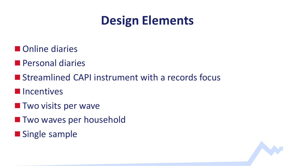### **Design Elements**

- **Online diaries**
- **Personal diaries**
- Streamlined CAPI instrument with a records focus
- **Incentives**
- **The Two visits per wave**
- **Two waves per household**
- **Single sample**

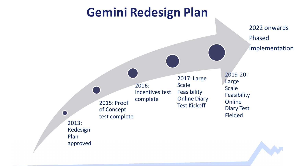#### **Gemini Redesign Plan**

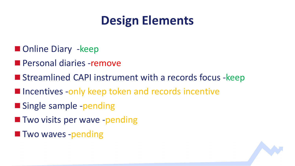## **Design Elements**

- **Danger Diary -keep**
- **Personal diaries -remove**
- Streamlined CAPI instrument with a records focus -keep
- **If incentives -only keep token and records incentive**
- **Single sample -pending**
- **The Two visits per wave -pending**
- **Two waves -pending**

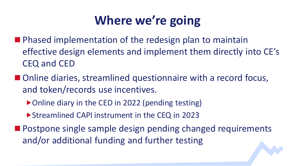# **Where we're going**

- **Phased implementation of the redesign plan to maintain** effective design elements and implement them directly into CE's CEQ and CED
- Online diaries, streamlined questionnaire with a record focus, and token/records use incentives.
	- ▶ Online diary in the CED in 2022 (pending testing)
	- Streamlined CAPI instrument in the CEQ in 2023
- **Postpone single sample design pending changed requirements** and/or additional funding and further testing